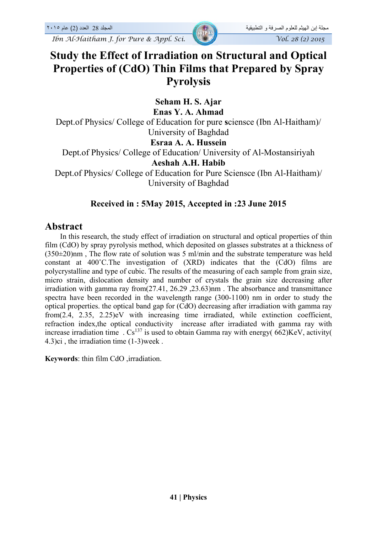# **Study the Effect of Irradiation on Structural and Optical Properties of (CdO) Thin Films that Prepared by Spray Pyrolysis**

**Seham H. S. Ajar** 

**Enas Y. A. Ahmad** 

Dept.of Physics/ College of Education for pure **s**ciensce (Ibn Al-Haitham)/ University of Baghdad

#### **Esraa A. A. Hussein**

Dept.of Physics/ College of Education/ University of Al-Mostansiriyah

#### **Aeshah A.H. Habib**

Dept.of Physics/ College of Education for Pure Sciensce (Ibn Al-Haitham)/ University of Baghdad

#### **Received in : 5May 2015, Accepted in :23 June 2015**

### **Abstract**

 In this research, the study effect of irradiation on structural and optical properties of thin film (CdO) by spray pyrolysis method, which deposited on glasses substrates at a thickness of  $(350\pm20)$ nm, The flow rate of solution was 5 ml/min and the substrate temperature was held constant at 400˚C.The investigation of (XRD) indicates that the (CdO) films are polycrystalline and type of cubic. The results of the measuring of each sample from grain size, micro strain, dislocation density and number of crystals the grain size decreasing after irradiation with gamma ray from(27.41, 26.29 ,23.63)nm . The absorbance and transmittance spectra have been recorded in the wavelength range (300-1100) nm in order to study the optical properties. the optical band gap for (CdO) decreasing after irradiation with gamma ray from(2.4, 2.35, 2.25)eV with increasing time irradiated, while extinction coefficient, refraction index,the optical conductivity increase after irradiated with gamma ray with increase irradiation time  $\cdot$  Cs<sup>137</sup> is used to obtain Gamma ray with energy( 662)KeV, activity( 4.3)ci , the irradiation time (1-3)week .

**Keywords**: thin film CdO ,irradiation.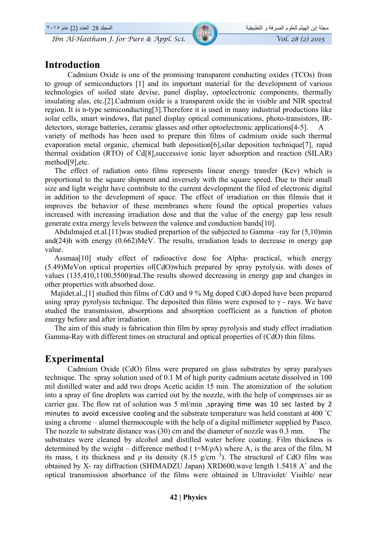## **Introduction**

Cadmium Oxide is one of the promising transparent conducting oxides (TCOs) from to group of semiconductors [1] and its important material for the development of various technologies of soiled state devise, panel display, optoelectronic components, thermally insulating alas, etc.[2].Cadmium oxide is a transparent oxide the in visible and NIR spectral region. It is n-type semiconducting[3].Therefore it is used in many industrial productions like solar cells, smart windows, flat panel display optical communications, photo-transistors, IRdetectors, storage batteries, ceramic glasses and other optoelectronic applications[4-5]. A variety of methods has been used to prepare thin films of cadmium oxide such thermal evaporation metal organic, chemical bath deposition[6],silar deposition technique[7], rapid thermal oxidation (RTO) of Cd[8],successive ionic layer adsorption and reaction (SILAR) method[9],etc.

 The effect of radiation onto films represents linear energy transfer (Kev) which is proportional to the square shipment and inversely with the square speed. Due to their small size and light weight have contribute to the current development the filed of electronic digital in addition to the development of space. The effect of irradiation on thin filmsis that it improves the behavior of these membranes where found the optical properties values increased with increasing irradiation dose and that the value of the energy gap less result generate extra energy levels between the valence and conduction bands[10].

 Abdulmajed et.al.[11]was studied prepartion of the subjected to Gamma –ray for (5,10)min and(24)h with energy (0.662)MeV. The results, irradiation leads to decrease in energy gap value.

Assmaa<sup>[10]</sup> study effect of radioactive dose foe Alpha- practical, which energy (5.49)MeVon optical properties of(CdO)which prepared by spray pyrolysis. with doses of values (135,410,1100,5500)rad.The results showed decreasing in energy gap and changes in other properties with absorbed dose.

Majidet.al.,[1] studied thin films of CdO and 9 % Mg doped CdO doped have been prepared using spray pyrolysis technique. The deposited thin films were exposed to  $\gamma$  - rays. We have studied the transmission, absorptions and absorption coefficient as a function of photon energy before and after irradiation.

 The aim of this study is fabrication thin film by spray pyrolysis and study effect irradiation Gamma-Ray with different times on structural and optical properties of (CdO) thin films.

#### **Experimental**

Cadmium Oxide (CdO) films were prepared on glass substrates by spray paralyses technique. The spray solution used of 0.1 M of high purity cadmium acetate dissolved in 100 mil distilled water and add two drops Acetic acidin 15 min. The atomization of the solution into a spray of fine droplets was carried out by the nozzle, with the help of compresses air as carrier gas. The flow rat of solution was 5 ml/min , spraying time was 10 sec lasted by 2 minutes to avoid excessive cooling and the substrate temperature was held constant at 400 ˚C using a chrome – alumel thermocouple with the help of a digital millimeter supplied by Pasco. The nozzle to substrate distance was (30) cm and the diameter of nozzle was 0.3 mm. The substrates were cleaned by alcohol and distilled water before coating. Film thickness is determined by the weight – difference method ( $t=M/\rho A$ ) where A, is the area of the film, M its mass, t its thickness and  $\rho$  its density (8.15 g/cm<sup>3</sup>). The structural of CdO film was obtained by X- ray diffraction (SHIMADZU Japan) XRD600,wave length 1.5418 A˚ and the optical transmission absorbance of the films were obtained in Ultraviolet/ Visible/ near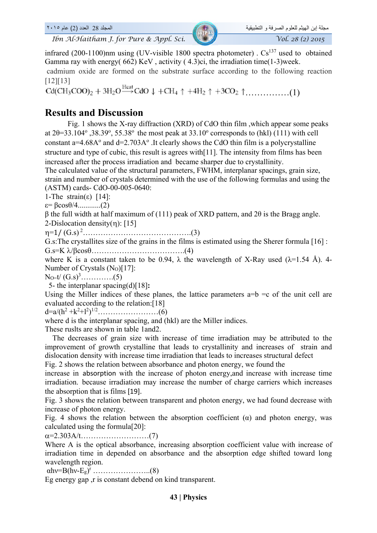infrared (200-1100)nm using (UV-visible 1800 spectra photometer) .  $Cs^{137}$  used to obtained Gamma ray with energy( 662) KeV , activity ( 4.3)ci, the irradiation time(1-3)week.

 cadmium oxide are formed on the substrate surface according to the following reaction [12][13]

……………(1)

### **Results and Discussion**

Fig. 1 shows the X-ray diffraction (XRD) of CdO thin film ,which appear some peaks at  $2\theta = 33.104^\circ$ ,  $38.39^\circ$ ,  $55.38^\circ$  the most peak at  $33.10^\circ$  corresponds to (hkl) (111) with cell constant a= $4.68A^{\circ}$  and d= $2.703A^{\circ}$ . It clearly shows the CdO thin film is a polycrystalline structure and type of cubic, this result is agrees with[11]. The intensity from films has been increased after the process irradiation and became sharper due to crystallinity.

The calculated value of the structural parameters, FWHM, interplanar spacings, grain size, strain and number of crystals determined with the use of the following formulas and using the (ASTM) cards- CdO-00-005-0640:

1-The strain(ε) [14]:

 $\varepsilon = \beta \cos{\theta/4}$ ...............(2)

β the full width at half maximum of (111) peak of XRD pattern, and 2θ is the Bragg angle. 2-Dislocation density $(n)$ : [15]

=1/ (G.s) 2…………………………………….(3)

G.s:The crystallites size of the grains in the films is estimated using the Sherer formula [16] :

G.s=K /cos……………………………….(4)

where K is a constant taken to be 0.94,  $\lambda$  the wavelength of X-Ray used ( $\lambda$ =1.54 Å). 4-Number of Crystals (No)[17]:

NO=t/ (G.s)<sup>3</sup> ………….(5)

5- the interplanar spacing(d)[18]**:** 

Using the Miller indices of these planes, the lattice parameters  $a=b =c$  of the unit cell are evaluated according to the relation:[18]

d=a/(h2 +k<sup>2</sup> +l<sup>2</sup> ) 1/2……………………(6)

where d is the interplanar spacing, and (hkl) are the Miller indices.

These ruslts are shown in table 1and2.

 The decreases of grain size with increase of time irradiation may be attributed to the improvement of growth crystalline that leads to crystallinity and increases of strain and dislocation density with increase time irradiation that leads to increases structural defect

Fig. 2 shows the relation between absorbance and photon energy, we found the

increase in absorption with the increase of photon energy,and increase with increase time irradiation. because irradiation may increase the number of charge carriers which increases the absorption that is films [19].

Fig. 3 shows the relation between transparent and photon energy, we had found decrease with increase of photon energy.

Fig. 4 shows the relation between the absorption coefficient  $(\alpha)$  and photon energy, was calculated using the formula[20]:

=2.303A/t………………………(7)

Where A is the optical absorbance, increasing absorption coefficient value with increase of irradiation time in depended on absorbance and the absorption edge shifted toward long wavelength region.

αhν=B(hν-Eg) r …………………..(8)

Eg energy gap ,r is constant debend on kind transparent.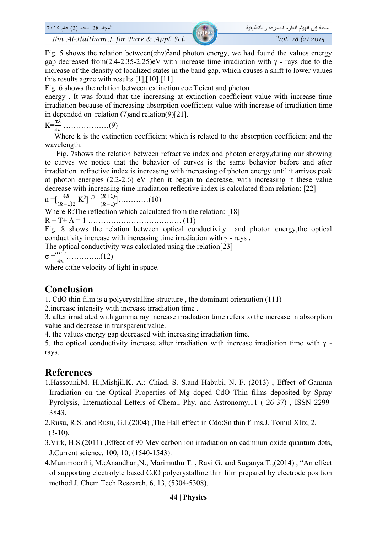Fig. 5 shows the relation between $(ahv)^2$  and photon energy, we had found the values energy gap decreased from(2.4-2.35-2.25)eV with increase time irradiation with  $\gamma$  - rays due to the increase of the density of localized states in the band gap, which causes a shift to lower values this results agree with results [1],[10],[11].

Fig. 6 shows the relation between extinction coefficient and photon

energy . It was found that the increasing at extinction coefficient value with increase time irradiation because of increasing absorption coefficient value with increase of irradiation time in depended on relation (7)and relation(9)[21].

$$
K = \frac{\alpha \lambda}{4\pi} \dots \dots \dots \dots \dots \dots (9)
$$

Where k is the extinction coefficient which is related to the absorption coefficient and the wavelength.

 Fig. 7shows the relation between refractive index and photon energy,during our showing to curves we notice that the behavior of curves is the same behavior before and after irradiation refractive index is increasing with increasing of photon energy until it arrives peak at photon energies (2.2-2.6) eV ,then it began to decrease, with increasing it these value decrease with increasing time irradiation reflective index is calculated from relation: [22]

n =[ ସோ ሺோିଵሻଶ -K2 ] 1/2 - ሺோାଵሻ ሺோିଵሻሿ…………(10)

Where R: The reflection which calculated from the relation: [18]

R + T+ A = 1 ………………………………. (11)

Fig. 8 shows the relation between optical conductivity and photon energy,the optical conductivity increase with increasing time irradiation with  $\gamma$  - rays.

The optical conductivity was calculated using the relation[23]

σ =ఈ ୡ ସగ …………..(12)

where c:the velocity of light in space.

#### **Conclusion**

1. CdO thin film is a polycrystalline structure , the dominant orientation (111)

2.increase intensity with increase irradiation time .

3. after irradiated with gamma ray increase irradiation time refers to the increase in absorption value and decrease in transparent value.

4. the values energy gap decreased with increasing irradiation time.

5. the optical conductivity increase after irradiation with increase irradiation time with  $\gamma$  rays.

## **References**

1.Hassouni,M. H.;Mishjil,K. A.; Chiad, S. S.and Habubi, N. F. (2013) , Effect of Gamma Irradiation on the Optical Properties of Mg doped CdO Thin films deposited by Spray Pyrolysis, International Letters of Chem., Phy. and Astronomy,11 ( 26-37) , ISSN 2299- 3843.

2.Rusu, R.S. and Rusu, G.I.(2004) ,The Hall effect in Cdo:Sn thin films,J. Tomul Xlix, 2,  $(3-10)$ .

3.Virk, H.S.(2011) ,Effect of 90 Mev carbon ion irradiation on cadmium oxide quantum dots, J.Current science, 100, 10, (1540-1543).

4.Mummoorthi, M.;Anandhan,N., Marimuthu T. , Ravi G. and Suganya T.,(2014) , "An effect of supporting electrolyte based CdO polycrystalline thin film prepared by electrode position method J. Chem Tech Research, 6, 13, (5304-5308).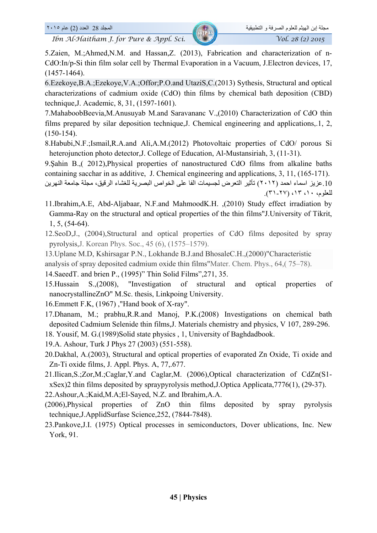5.Zaien, M.;Ahmed,N.M. and Hassan,Z. (2013), Fabrication and characterization of n-CdO:In/p-Si thin film solar cell by Thermal Evaporation in a Vacuum, J.Electron devices, 17, (1457-1464).

6.Ezekoye,B.A.;Ezekoye,V.A.;Offor;P.O.and UtaziS,C.(2013) Sythesis, Structural and optical characterizations of cadmium oxide (CdO) thin films by chemical bath deposition (CBD) technique,J. Academic, 8, 31, (1597-1601).

7.MahaboobBeevia,M.Anusuyab M.and Saravananc V.,(2010) Characterization of CdO thin films prepared by silar deposition technique,J. Chemical engineering and applications,.1, 2, (150-154).

8.Habubi,N.F.;Ismail,R.A.and Ali,A.M.(2012) Photovoltaic properties of CdO/ porous Si heterojunction photo detector,J. College of Education, Al-Mustansiriah, 3, (11-31).

9.Şahin B.,( 2012),Physical properties of nanostructured CdO films from alkaline baths containing sacchar in as additive, J. Chemical engineering and applications, 3, 11, (165-171).

.10عزيز اسماء احمد (٢٠١٢) تأثير التعرض لجسيمات الفا على الخواص البصرية للغشاء الرقيق، مجلة جامعة النھرين للعلوم، ،١٠ ،١٣ (٣١-٢٧).

- 11.Ibrahim,A.E, Abd-Aljabaar, N.F.and MahmoodK.H. ,(2010) Study effect irradiation by Gamma-Ray on the structural and optical properties of the thin films"J.University of Tikrit, 1, 5, (54-64).
- 12.SeoD,J., (2004),Structural and optical properties of CdO films deposited by spray pyrolysis,J. Korean Phys. Soc., 45 (6), (1575–1579).
- 13.Uplane M.D, Kshirsagar P.N., Lokhande B.J.and BhosaleC.H.,(2000)"Characteristic
- analysis of spray deposited cadmium oxide thin films"Mater. Chem. Phys., 64,( 75–78).
- 14.SaeedT. and brien P., (1995)" Thin Solid Films",271, 35.
- 15.Hussain S.,(2008), "Investigation of structural and optical properties of nanocrystallineZnO" M.Sc. thesis, Linkpoing University.
- 16.Emmett F.K, (1967) ,"Hand book of X-ray".
- 17.Dhanam, M.; prabhu,R.R.and Manoj, P.K.(2008) Investigations on chemical bath deposited Cadmium Selenide thin films,J. Materials chemistry and physics, V 107, 289-296.
- 18. Yousif, M. G.(1989)Solid state physics , 1, University of Baghdadbook.
- 19.A. Ashour, Turk J Phys 27 (2003) (551-558).
- 20.Dakhal, A.(2003), Structural and optical properties of evaporated Zn Oxide, Ti oxide and Zn-Ti oxide films, J. Appl. Phys. A, 77,.677.
- 21.Ilican,S.;Zor,M.;Caglar,Y.and Caglar,M. (2006),Optical characterization of CdZn(S1 xSex)2 thin films deposited by spraypyrolysis method,J.Optica Applicata,7776(1), (29-37).
- 22.Ashour,A.;Kaid,M.A;El-Sayed, N.Z. and Ibrahim,A.A.
- (2006),Physical properties of ZnO thin films deposited by spray pyrolysis technique,J.ApplidSurfase Science,252, (7844-7848).
- 23.Pankove,J.I. (1975) Optical processes in semiconductors, Dover ublications, Inc. New York, 91.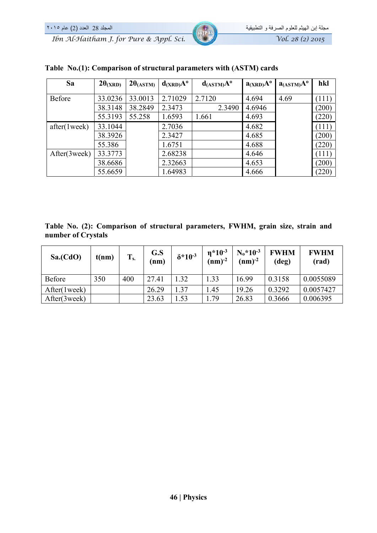| Sa            | $2\theta_{(XRD)}$ | $2\theta$ (ASTM) | $d_{(XRD)}A^{\circ}$ | $d$ <sub>(ASTM)</sub> $A^o$ | $a_{(XRD)}A^o$ | $a$ <sub>(ASTM)</sub> $A^o$ | hkl   |
|---------------|-------------------|------------------|----------------------|-----------------------------|----------------|-----------------------------|-------|
|               |                   |                  |                      |                             |                |                             |       |
| Before        | 33.0236           | 33.0013          | 2.71029              | 2.7120                      | 4.694          | 4.69                        | (111) |
|               | 38.3148           | 38.2849          | 2.3473               | 2.3490                      | 4.6946         |                             | (200) |
|               | 55.3193           | 55.258           | 1.6593               | 1.661                       | 4.693          |                             | (220) |
| after(1 week) | 33.1044           |                  | 2.7036               |                             | 4.682          |                             | (111) |
|               | 38.3926           |                  | 2.3427               |                             | 4.685          |                             | (200) |
|               | 55.386            |                  | 1.6751               |                             | 4.688          |                             | (220) |
| After(3week)  | 33.3773           |                  | 2.68238              |                             | 4.646          |                             | (111) |
|               | 38.6686           |                  | 2.32663              |                             | 4.653          |                             | (200) |
|               | 55.6659           |                  | 1.64983              |                             | 4.666          |                             | (220) |

#### **Table No.(1): Comparison of structural parameters with (ASTM) cards**

**Table No. (2): Comparison of structural parameters, FWHM, grain size, strain and number of Crystals** 

| Sa.(CdO)      | t(nm) | $T_{s.}$ | G.S<br>(nm) | $\delta^* 10^{-3}$ | $n*10-3$<br>$(nm)^{-2}$ | $N_0$ *10 <sup>-3</sup><br>$(nm)^{-2}$ | <b>FWHM</b><br>(deg) | <b>FWHM</b><br>(rad) |
|---------------|-------|----------|-------------|--------------------|-------------------------|----------------------------------------|----------------------|----------------------|
| <b>Before</b> | 350   | 400      | 27.41       | 1.32               | 1.33                    | 16.99                                  | 0.3158               | 0.0055089            |
| After(1week)  |       |          | 26.29       | 1.37               | 1.45                    | 19.26                                  | 0.3292               | 0.0057427            |
| After(3week)  |       |          | 23.63       | $\overline{.53}$   | 1.79                    | 26.83                                  | 0.3666               | 0.006395             |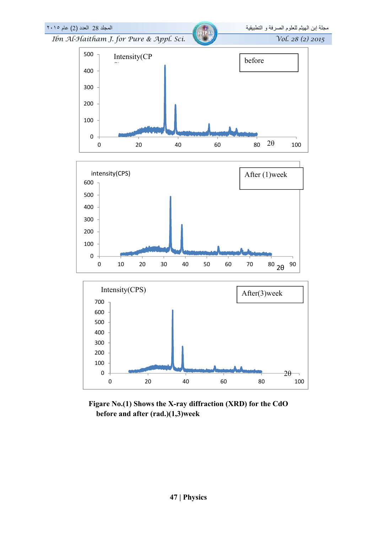

**Figare No.(1) Shows the X-ray diffraction (XRD) for the CdO before and after (rad.)(1,3)week**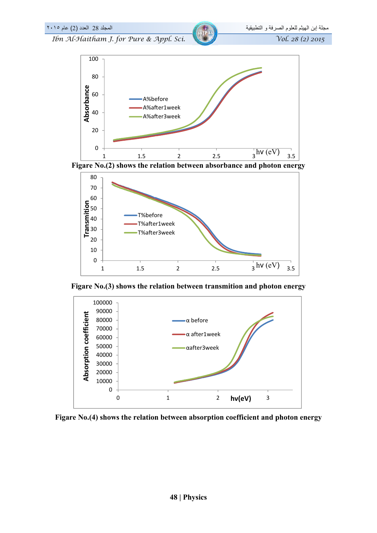



**Figare No.(4) shows the relation between absorption coefficient and photon energy**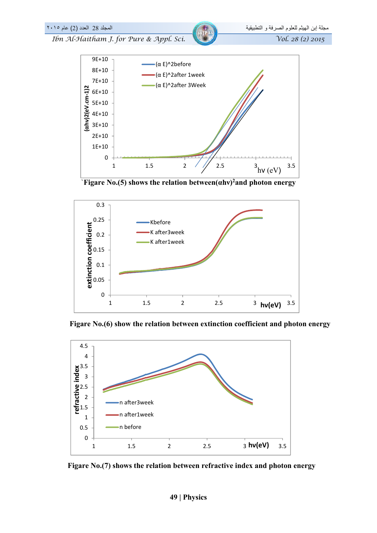

`**Figare No.(5) shows the relation between(αhν)2and photon energy** 



 **Figare No.(6) show the relation between extinction coefficient and photon energy** 



 **Figare No.(7) shows the relation between refractive index and photon energy**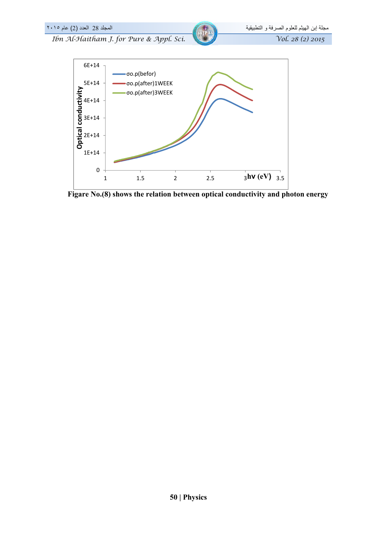

 **Figare No.(8) shows the relation between optical conductivity and photon energy**